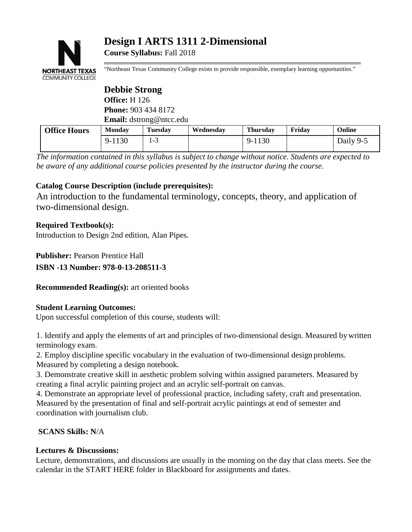

# **Design I ARTS 1311 2-Dimensional**

**Course Syllabus:** Fall 2018

"Northeast Texas Community College exists to provide responsible, exemplary learning opportunities."

|                     | <b>Debbie Strong</b>           |                |           |                 |        |           |
|---------------------|--------------------------------|----------------|-----------|-----------------|--------|-----------|
|                     | <b>Office:</b> H 126           |                |           |                 |        |           |
|                     | <b>Phone: 903 434 8172</b>     |                |           |                 |        |           |
|                     | <b>Email:</b> dstrong@ntcc.edu |                |           |                 |        |           |
| <b>Office Hours</b> | <b>Monday</b>                  | <b>Tuesday</b> | Wednesday | <b>Thursday</b> | Fridav | Online    |
|                     | 9-1130                         | $1 - 3$        |           | 9-1130          |        | Daily 9-5 |

*The information contained in this syllabus is subject to change without notice. Students are expected to be aware of any additional course policies presented by the instructor during the course.*

# **Catalog Course Description (include prerequisites):**

An introduction to the fundamental terminology, concepts, theory, and application of two-dimensional design.

### **Required Textbook(s):**

Introduction to Design 2nd edition, Alan Pipes.

**Publisher:** Pearson Prentice Hall

**ISBN -13 Number: 978-0-13-208511-3**

**Recommended Reading(s):** art oriented books

### **Student Learning Outcomes:**

Upon successful completion of this course, students will:

1. Identify and apply the elements of art and principles of two-dimensional design. Measured bywritten terminology exam.

2. Employ discipline specific vocabulary in the evaluation of two-dimensional design problems. Measured by completing a design notebook.

3. Demonstrate creative skill in aesthetic problem solving within assigned parameters. Measured by creating a final acrylic painting project and an acrylic self-portrait on canvas.

4. Demonstrate an appropriate level of professional practice, including safety, craft and presentation. Measured by the presentation of final and self-portrait acrylic paintings at end of semester and coordination with journalism club.

# **SCANS Skills: N**/A

### **Lectures & Discussions:**

Lecture, demonstrations, and discussions are usually in the morning on the day that class meets. See the calendar in the START HERE folder in Blackboard for assignments and dates.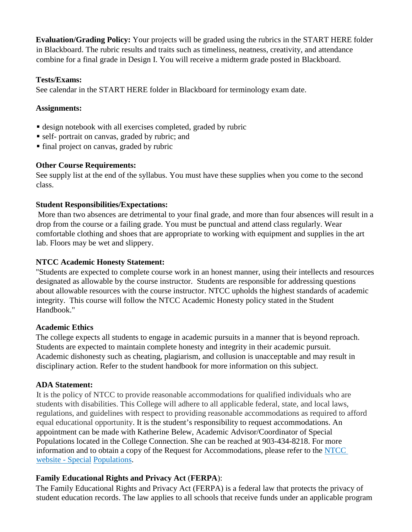**Evaluation/Grading Policy:** Your projects will be graded using the rubrics in the START HERE folder in Blackboard. The rubric results and traits such as timeliness, neatness, creativity, and attendance combine for a final grade in Design I. You will receive a midterm grade posted in Blackboard.

#### **Tests/Exams:**

See calendar in the START HERE folder in Blackboard for terminology exam date.

## **Assignments:**

- design notebook with all exercises completed, graded by rubric
- self- portrait on canvas, graded by rubric; and
- final project on canvas, graded by rubric

## **Other Course Requirements:**

See supply list at the end of the syllabus. You must have these supplies when you come to the second class.

## **Student Responsibilities/Expectations:**

More than two absences are detrimental to your final grade, and more than four absences will result in a drop from the course or a failing grade. You must be punctual and attend class regularly. Wear comfortable clothing and shoes that are appropriate to working with equipment and supplies in the art lab. Floors may be wet and slippery.

## **NTCC Academic Honesty Statement:**

"Students are expected to complete course work in an honest manner, using their intellects and resources designated as allowable by the course instructor. Students are responsible for addressing questions about allowable resources with the course instructor. NTCC upholds the highest standards of academic integrity. This course will follow the NTCC Academic Honesty policy stated in the Student Handbook."

### **Academic Ethics**

The college expects all students to engage in academic pursuits in a manner that is beyond reproach. Students are expected to maintain complete honesty and integrity in their academic pursuit. Academic dishonesty such as cheating, plagiarism, and collusion is unacceptable and may result in disciplinary action. Refer to the student handbook for more information on this subject.

# **ADA Statement:**

It is the policy of NTCC to provide reasonable accommodations for qualified individuals who are students with disabilities. This College will adhere to all applicable federal, state, and local laws, regulations, and guidelines with respect to providing reasonable accommodations as required to afford equal educational opportunity. It is the student's responsibility to request accommodations. An appointment can be made with Katherine Belew, Academic Advisor/Coordinator of Special Populations located in the College Connection. She can be reached at 903-434-8218. For more information and to obtain a copy of the Request for Accommodations, please refer to the [NTCC](http://www.ntcc.edu/index.php?module=Pagesetter&func=viewpub&tid=111&pid=1)  [website -](http://www.ntcc.edu/index.php?module=Pagesetter&func=viewpub&tid=111&pid=1) Special [Populations.](http://www.ntcc.edu/index.php?module=Pagesetter&func=viewpub&tid=111&pid=1)

# **Family Educational Rights and Privacy Act** (**FERPA**):

The Family Educational Rights and Privacy Act (FERPA) is a federal law that protects the privacy of student education records. The law applies to all schools that receive funds under an applicable program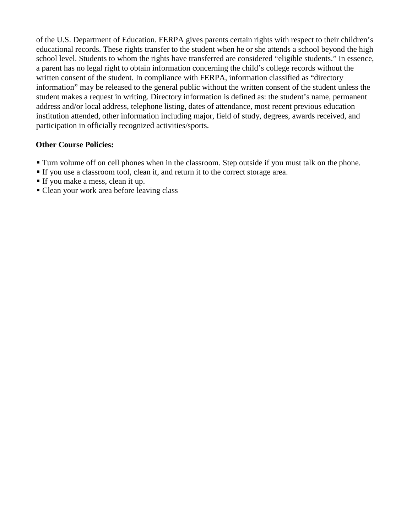of the U.S. Department of Education. FERPA gives parents certain rights with respect to their children's educational records. These rights transfer to the student when he or she attends a school beyond the high school level. Students to whom the rights have transferred are considered "eligible students." In essence, a parent has no legal right to obtain information concerning the child's college records without the written consent of the student. In compliance with FERPA, information classified as "directory information" may be released to the general public without the written consent of the student unless the student makes a request in writing. Directory information is defined as: the student's name, permanent address and/or local address, telephone listing, dates of attendance, most recent previous education institution attended, other information including major, field of study, degrees, awards received, and participation in officially recognized activities/sports.

### **Other Course Policies:**

- Turn volume off on cell phones when in the classroom. Step outside if you must talk on the phone.
- If you use a classroom tool, clean it, and return it to the correct storage area.
- If you make a mess, clean it up.
- Clean your work area before leaving class